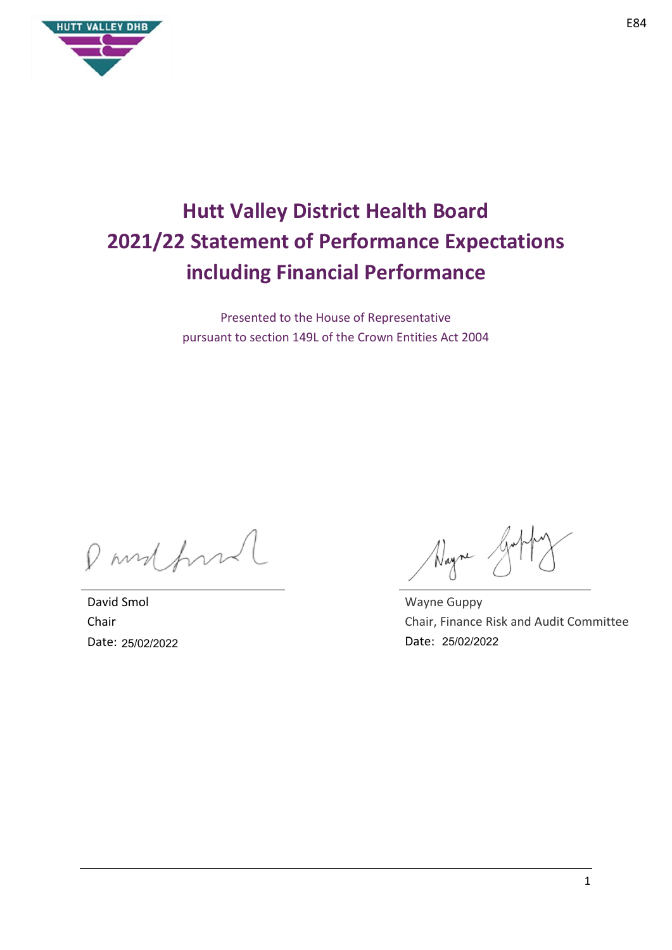

# **Hutt Valley District Health Board 2021/22 Statement of Performance Expectations including Financial Performance**

Presented to the House of Representative pursuant to section 149L of the Crown Entities Act 2004

Pandford

David Smol Chair Date: 25/02/2022

Nayne

Wayne Guppy Chair, Finance Risk and Audit Committee Date: 25/02/2022 25/02/2022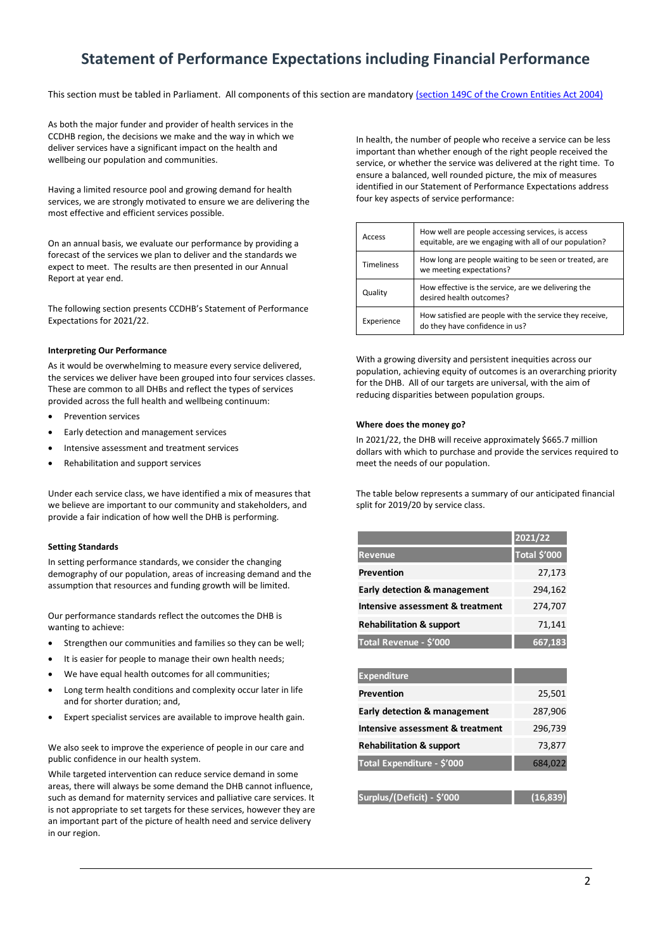# **Statement of Performance Expectations including Financial Performance**

This section must be tabled in Parliament. All components of this section are mandatory [\(section 149C of the Crown Entities Act 2004\)](http://www.legislation.govt.nz/act/public/2004/0115/latest/DLM6176675.html)

As both the major funder and provider of health services in the CCDHB region, the decisions we make and the way in which we deliver services have a significant impact on the health and wellbeing our population and communities.

Having a limited resource pool and growing demand for health services, we are strongly motivated to ensure we are delivering the most effective and efficient services possible.

On an annual basis, we evaluate our performance by providing a forecast of the services we plan to deliver and the standards we expect to meet. The results are then presented in our Annual Report at year end.

The following section presents CCDHB's Statement of Performance Expectations for 2021/22.

#### **Interpreting Our Performance**

As it would be overwhelming to measure every service delivered, the services we deliver have been grouped into four services classes. These are common to all DHBs and reflect the types of services provided across the full health and wellbeing continuum:

- Prevention services
- Early detection and management services
- Intensive assessment and treatment services
- Rehabilitation and support services

Under each service class, we have identified a mix of measures that we believe are important to our community and stakeholders, and provide a fair indication of how well the DHB is performing.

#### **Setting Standards**

In setting performance standards, we consider the changing demography of our population, areas of increasing demand and the assumption that resources and funding growth will be limited.

Our performance standards reflect the outcomes the DHB is wanting to achieve:

- Strengthen our communities and families so they can be well;
- It is easier for people to manage their own health needs;
- We have equal health outcomes for all communities;
- Long term health conditions and complexity occur later in life and for shorter duration; and,
- Expert specialist services are available to improve health gain.

We also seek to improve the experience of people in our care and public confidence in our health system.

While targeted intervention can reduce service demand in some areas, there will always be some demand the DHB cannot influence, such as demand for maternity services and palliative care services. It is not appropriate to set targets for these services, however they are an important part of the picture of health need and service delivery in our region.

In health, the number of people who receive a service can be less important than whether enough of the right people received the service, or whether the service was delivered at the right time. To ensure a balanced, well rounded picture, the mix of measures identified in our Statement of Performance Expectations address four key aspects of service performance:

| Access            | How well are people accessing services, is access<br>equitable, are we engaging with all of our population? |
|-------------------|-------------------------------------------------------------------------------------------------------------|
| <b>Timeliness</b> | How long are people waiting to be seen or treated, are<br>we meeting expectations?                          |
| Quality           | How effective is the service, are we delivering the<br>desired health outcomes?                             |
| Experience        | How satisfied are people with the service they receive,<br>do they have confidence in us?                   |

With a growing diversity and persistent inequities across our population, achieving equity of outcomes is an overarching priority for the DHB. All of our targets are universal, with the aim of reducing disparities between population groups.

#### **Where does the money go?**

In 2021/22, the DHB will receive approximately \$665.7 million dollars with which to purchase and provide the services required to meet the needs of our population.

The table below represents a summary of our anticipated financial split for 2019/20 by service class.

|                                         | 2021/22      |
|-----------------------------------------|--------------|
| <b>Revenue</b>                          | Total \$'000 |
| <b>Prevention</b>                       | 27,173       |
| <b>Early detection &amp; management</b> | 294,162      |
| Intensive assessment & treatment        | 274,707      |
| <b>Rehabilitation &amp; support</b>     | 71,141       |
| Total Revenue - \$'000                  | 667,183      |

| <b>Expenditure</b>                      |          |
|-----------------------------------------|----------|
| Prevention                              | 25,501   |
| <b>Early detection &amp; management</b> | 287,906  |
| Intensive assessment & treatment        | 296,739  |
| <b>Rehabilitation &amp; support</b>     | 73,877   |
| Total Expenditure - \$'000              | 684,022  |
|                                         |          |
| Surplus/(Deficit) - \$'000              | (16,839) |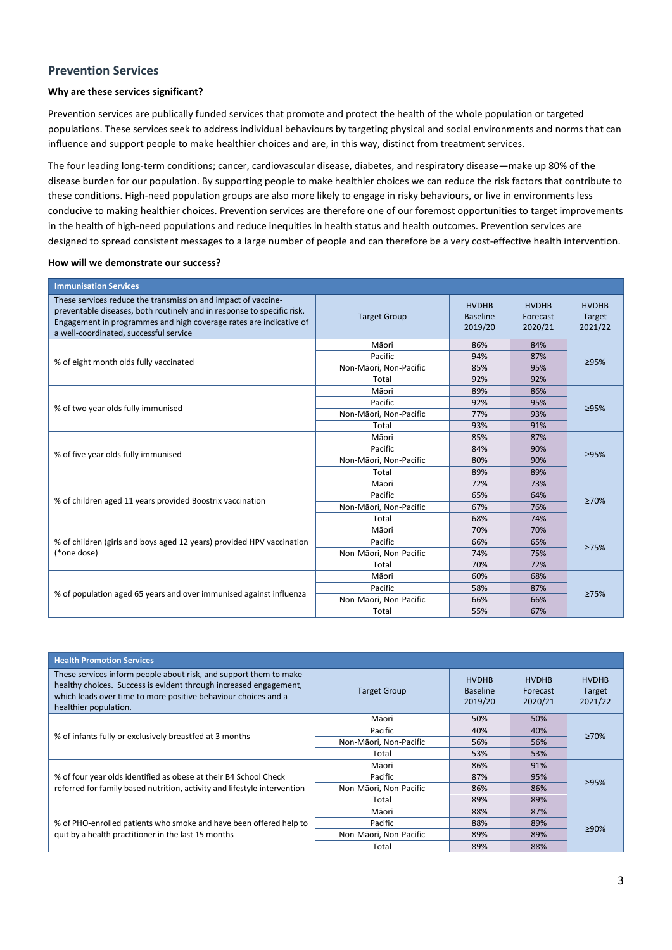## **Prevention Services**

#### **Why are these services significant?**

Prevention services are publically funded services that promote and protect the health of the whole population or targeted populations. These services seek to address individual behaviours by targeting physical and social environments and norms that can influence and support people to make healthier choices and are, in this way, distinct from treatment services.

The four leading long-term conditions; cancer, cardiovascular disease, diabetes, and respiratory disease—make up 80% of the disease burden for our population. By supporting people to make healthier choices we can reduce the risk factors that contribute to these conditions. High-need population groups are also more likely to engage in risky behaviours, or live in environments less conducive to making healthier choices. Prevention services are therefore one of our foremost opportunities to target improvements in the health of high-need populations and reduce inequities in health status and health outcomes. Prevention services are designed to spread consistent messages to a large number of people and can therefore be a very cost-effective health intervention.

| <b>Immunisation Services</b>                                                                                                                                                                                                                            |                        |                                            |                                     |                                   |
|---------------------------------------------------------------------------------------------------------------------------------------------------------------------------------------------------------------------------------------------------------|------------------------|--------------------------------------------|-------------------------------------|-----------------------------------|
| These services reduce the transmission and impact of vaccine-<br>preventable diseases, both routinely and in response to specific risk.<br>Engagement in programmes and high coverage rates are indicative of<br>a well-coordinated, successful service | <b>Target Group</b>    | <b>HVDHB</b><br><b>Baseline</b><br>2019/20 | <b>HVDHB</b><br>Forecast<br>2020/21 | <b>HVDHB</b><br>Target<br>2021/22 |
|                                                                                                                                                                                                                                                         | Māori                  | 86%                                        | 84%                                 |                                   |
|                                                                                                                                                                                                                                                         | Pacific                | 94%                                        | 87%                                 | ≥95%                              |
| % of eight month olds fully vaccinated                                                                                                                                                                                                                  | Non-Māori, Non-Pacific | 85%                                        | 95%                                 |                                   |
|                                                                                                                                                                                                                                                         | Total                  | 92%                                        | 92%                                 |                                   |
| % of two year olds fully immunised                                                                                                                                                                                                                      | Māori                  | 89%                                        | 86%                                 |                                   |
|                                                                                                                                                                                                                                                         | Pacific                | 92%                                        | 95%                                 | ≥95%                              |
|                                                                                                                                                                                                                                                         | Non-Māori, Non-Pacific | 77%                                        | 93%                                 |                                   |
|                                                                                                                                                                                                                                                         | Total                  | 93%                                        | 91%                                 |                                   |
|                                                                                                                                                                                                                                                         | Māori                  | 85%                                        | 87%                                 | ≥95%                              |
|                                                                                                                                                                                                                                                         | Pacific                | 84%                                        | 90%                                 |                                   |
| % of five year olds fully immunised                                                                                                                                                                                                                     | Non-Māori, Non-Pacific | 80%                                        | 90%                                 |                                   |
|                                                                                                                                                                                                                                                         | Total                  | 89%                                        | 89%                                 |                                   |
|                                                                                                                                                                                                                                                         | Māori                  | 72%                                        | 73%                                 |                                   |
|                                                                                                                                                                                                                                                         | Pacific                | 65%                                        | 64%                                 | $\geq 70\%$                       |
| % of children aged 11 years provided Boostrix vaccination                                                                                                                                                                                               | Non-Māori, Non-Pacific | 67%                                        | 76%                                 |                                   |
|                                                                                                                                                                                                                                                         | Total                  | 68%                                        | 74%                                 |                                   |
|                                                                                                                                                                                                                                                         | Māori                  | 70%                                        | 70%                                 |                                   |
| % of children (girls and boys aged 12 years) provided HPV vaccination                                                                                                                                                                                   | Pacific                | 66%                                        | 65%                                 | 275%                              |
| (*one dose)                                                                                                                                                                                                                                             | Non-Māori, Non-Pacific | 74%                                        | 75%                                 |                                   |
|                                                                                                                                                                                                                                                         | Total                  | 70%                                        | 72%                                 |                                   |
|                                                                                                                                                                                                                                                         | Māori                  | 60%                                        | 68%                                 |                                   |
|                                                                                                                                                                                                                                                         | Pacific                | 58%                                        | 87%                                 |                                   |
| % of population aged 65 years and over immunised against influenza                                                                                                                                                                                      | Non-Māori, Non-Pacific | 66%                                        | 66%                                 | 275%                              |
|                                                                                                                                                                                                                                                         | Total                  | 55%                                        | 67%                                 |                                   |

| <b>Health Promotion Services</b>                                                                                                                                                                                                  |                        |                                            |                                     |                                   |
|-----------------------------------------------------------------------------------------------------------------------------------------------------------------------------------------------------------------------------------|------------------------|--------------------------------------------|-------------------------------------|-----------------------------------|
| These services inform people about risk, and support them to make<br>healthy choices. Success is evident through increased engagement,<br>which leads over time to more positive behaviour choices and a<br>healthier population. | <b>Target Group</b>    | <b>HVDHB</b><br><b>Baseline</b><br>2019/20 | <b>HVDHB</b><br>Forecast<br>2020/21 | <b>HVDHB</b><br>Target<br>2021/22 |
| % of infants fully or exclusively breastfed at 3 months                                                                                                                                                                           | Māori                  | 50%                                        | 50%                                 |                                   |
|                                                                                                                                                                                                                                   | Pacific                | 40%                                        | 40%                                 | $\geq 70\%$                       |
|                                                                                                                                                                                                                                   | Non-Māori, Non-Pacific | 56%                                        | 56%                                 |                                   |
|                                                                                                                                                                                                                                   | Total                  | 53%                                        | 53%                                 |                                   |
|                                                                                                                                                                                                                                   | Māori                  | 86%                                        | 91%                                 |                                   |
| % of four year olds identified as obese at their B4 School Check                                                                                                                                                                  | Pacific                | 87%                                        | 95%                                 |                                   |
| referred for family based nutrition, activity and lifestyle intervention                                                                                                                                                          | Non-Māori, Non-Pacific | 86%                                        | 86%                                 | 295%                              |
|                                                                                                                                                                                                                                   | Total                  | 89%                                        | 89%                                 |                                   |
|                                                                                                                                                                                                                                   | Māori                  | 88%                                        | 87%                                 |                                   |
| % of PHO-enrolled patients who smoke and have been offered help to<br>quit by a health practitioner in the last 15 months                                                                                                         | Pacific                | 88%                                        | 89%                                 | $>90\%$                           |
|                                                                                                                                                                                                                                   | Non-Māori, Non-Pacific | 89%                                        | 89%                                 |                                   |
|                                                                                                                                                                                                                                   | Total                  | 89%                                        | 88%                                 |                                   |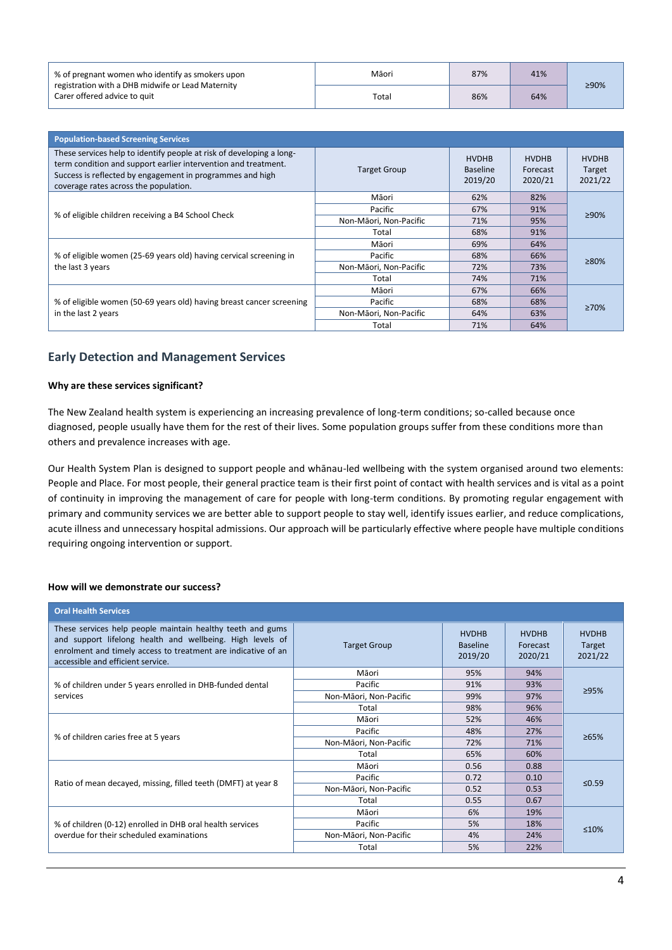| % of pregnant women who identify as smokers upon                                  | Māori | 87% | 41% | ≥90% |
|-----------------------------------------------------------------------------------|-------|-----|-----|------|
| registration with a DHB midwife or Lead Maternity<br>Carer offered advice to quit | Total | 86% | 64% |      |

| <b>Population-based Screening Services</b>                                                                                                                                                                                                   |                        |                                            |                                     |                                   |
|----------------------------------------------------------------------------------------------------------------------------------------------------------------------------------------------------------------------------------------------|------------------------|--------------------------------------------|-------------------------------------|-----------------------------------|
| These services help to identify people at risk of developing a long-<br>term condition and support earlier intervention and treatment.<br>Success is reflected by engagement in programmes and high<br>coverage rates across the population. | <b>Target Group</b>    | <b>HVDHB</b><br><b>Baseline</b><br>2019/20 | <b>HVDHB</b><br>Forecast<br>2020/21 | <b>HVDHB</b><br>Target<br>2021/22 |
| % of eligible children receiving a B4 School Check                                                                                                                                                                                           | Māori                  | 62%                                        | 82%                                 |                                   |
|                                                                                                                                                                                                                                              | Pacific                | 67%                                        | 91%                                 | ≥90%                              |
|                                                                                                                                                                                                                                              | Non-Māori, Non-Pacific | 71%                                        | 95%                                 |                                   |
|                                                                                                                                                                                                                                              | Total                  | 68%                                        | 91%                                 |                                   |
|                                                                                                                                                                                                                                              | Māori                  | 69%                                        | 64%                                 |                                   |
| % of eligible women (25-69 years old) having cervical screening in                                                                                                                                                                           | Pacific                | 68%                                        | 66%                                 | $\geq 80\%$                       |
| the last 3 years                                                                                                                                                                                                                             | Non-Māori, Non-Pacific | 72%                                        | 73%                                 |                                   |
|                                                                                                                                                                                                                                              | Total                  | 74%                                        | 71%                                 |                                   |
|                                                                                                                                                                                                                                              | Māori                  | 67%                                        | 66%                                 |                                   |
| % of eligible women (50-69 years old) having breast cancer screening<br>in the last 2 years                                                                                                                                                  | Pacific                | 68%                                        | 68%                                 | $\geq 70\%$                       |
|                                                                                                                                                                                                                                              | Non-Māori, Non-Pacific | 64%                                        | 63%                                 |                                   |
|                                                                                                                                                                                                                                              | Total                  | 71%                                        | 64%                                 |                                   |

## **Early Detection and Management Services**

#### **Why are these services significant?**

The New Zealand health system is experiencing an increasing prevalence of long-term conditions; so-called because once diagnosed, people usually have them for the rest of their lives. Some population groups suffer from these conditions more than others and prevalence increases with age.

Our Health System Plan is designed to support people and whānau-led wellbeing with the system organised around two elements: People and Place. For most people, their general practice team is their first point of contact with health services and is vital as a point of continuity in improving the management of care for people with long-term conditions. By promoting regular engagement with primary and community services we are better able to support people to stay well, identify issues earlier, and reduce complications, acute illness and unnecessary hospital admissions. Our approach will be particularly effective where people have multiple conditions requiring ongoing intervention or support.

| <b>Oral Health Services</b>                                                                                                                                                                                                   |                        |                                            |                                     |                                   |
|-------------------------------------------------------------------------------------------------------------------------------------------------------------------------------------------------------------------------------|------------------------|--------------------------------------------|-------------------------------------|-----------------------------------|
| These services help people maintain healthy teeth and gums<br>and support lifelong health and wellbeing. High levels of<br>enrolment and timely access to treatment are indicative of an<br>accessible and efficient service. | <b>Target Group</b>    | <b>HVDHB</b><br><b>Baseline</b><br>2019/20 | <b>HVDHB</b><br>Forecast<br>2020/21 | <b>HVDHB</b><br>Target<br>2021/22 |
|                                                                                                                                                                                                                               | Māori                  | 95%                                        | 94%                                 |                                   |
| % of children under 5 years enrolled in DHB-funded dental                                                                                                                                                                     | Pacific                | 91%                                        | 93%                                 | 295%                              |
| services                                                                                                                                                                                                                      | Non-Māori, Non-Pacific | 99%                                        | 97%                                 |                                   |
|                                                                                                                                                                                                                               | Total                  | 98%                                        | 96%                                 |                                   |
|                                                                                                                                                                                                                               | Māori                  | 52%                                        | 46%                                 | $\geq 65\%$                       |
| % of children caries free at 5 years                                                                                                                                                                                          | Pacific                | 48%                                        | 27%                                 |                                   |
|                                                                                                                                                                                                                               | Non-Māori, Non-Pacific | 72%                                        | 71%                                 |                                   |
|                                                                                                                                                                                                                               | Total                  | 65%                                        | 60%                                 |                                   |
|                                                                                                                                                                                                                               | Māori                  | 0.56                                       | 0.88                                |                                   |
|                                                                                                                                                                                                                               | Pacific                | 0.72                                       | 0.10                                | ≤0.59                             |
| Ratio of mean decayed, missing, filled teeth (DMFT) at year 8                                                                                                                                                                 | Non-Māori, Non-Pacific | 0.52                                       | 0.53                                |                                   |
|                                                                                                                                                                                                                               | Total                  | 0.55                                       | 0.67                                |                                   |
|                                                                                                                                                                                                                               | Māori                  | 6%                                         | 19%                                 |                                   |
| % of children (0-12) enrolled in DHB oral health services<br>overdue for their scheduled examinations                                                                                                                         | Pacific                | 5%                                         | 18%                                 | ≤10%                              |
|                                                                                                                                                                                                                               | Non-Māori, Non-Pacific | 4%                                         | 24%                                 |                                   |
|                                                                                                                                                                                                                               | Total                  | 5%                                         | 22%                                 |                                   |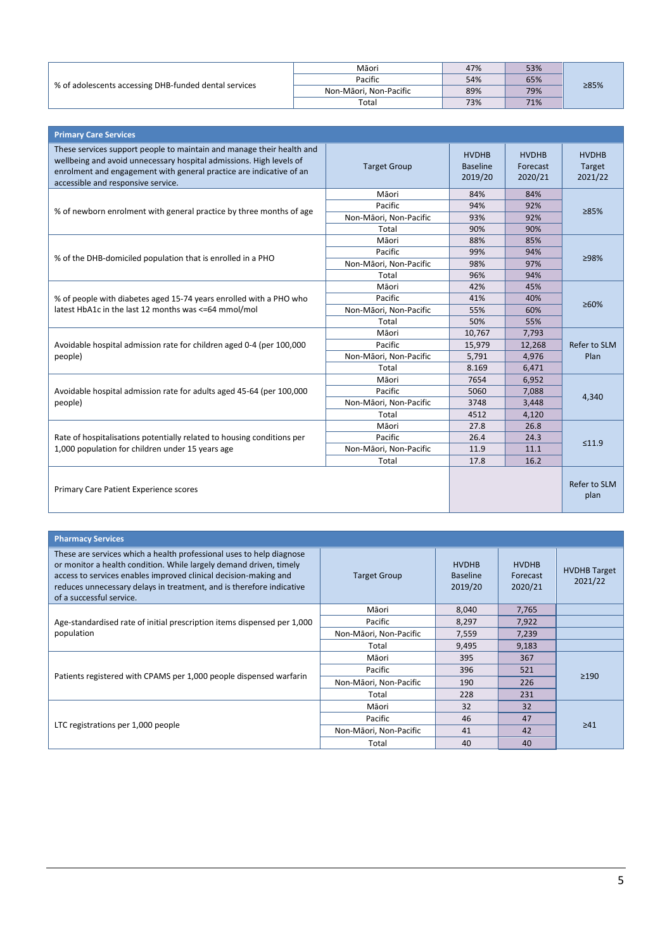| % of adolescents accessing DHB-funded dental services | Māori                  | 47% | 53% |      |
|-------------------------------------------------------|------------------------|-----|-----|------|
|                                                       | Pacific                | 54% | 65% | ≥85% |
|                                                       | Non-Māori. Non-Pacific | 89% | 79% |      |
|                                                       | Total                  | 73% | 71% |      |

| <b>Primary Care Services</b>                                                                                                                                                                                                                              |                        |                                            |                                     |                                   |
|-----------------------------------------------------------------------------------------------------------------------------------------------------------------------------------------------------------------------------------------------------------|------------------------|--------------------------------------------|-------------------------------------|-----------------------------------|
| These services support people to maintain and manage their health and<br>wellbeing and avoid unnecessary hospital admissions. High levels of<br>enrolment and engagement with general practice are indicative of an<br>accessible and responsive service. | <b>Target Group</b>    | <b>HVDHB</b><br><b>Baseline</b><br>2019/20 | <b>HVDHB</b><br>Forecast<br>2020/21 | <b>HVDHB</b><br>Target<br>2021/22 |
|                                                                                                                                                                                                                                                           | Māori                  | 84%                                        | 84%                                 |                                   |
| % of newborn enrolment with general practice by three months of age                                                                                                                                                                                       | Pacific                | 94%                                        | 92%                                 | 285%                              |
|                                                                                                                                                                                                                                                           | Non-Māori, Non-Pacific | 93%                                        | 92%                                 |                                   |
|                                                                                                                                                                                                                                                           | Total                  | 90%                                        | 90%                                 |                                   |
|                                                                                                                                                                                                                                                           | Māori                  | 88%                                        | 85%                                 |                                   |
| % of the DHB-domiciled population that is enrolled in a PHO<br>% of people with diabetes aged 15-74 years enrolled with a PHO who<br>latest HbA1c in the last 12 months was <= 64 mmol/mol                                                                | Pacific                | 99%                                        | 94%                                 | ≥98%                              |
|                                                                                                                                                                                                                                                           | Non-Māori, Non-Pacific | 98%                                        | 97%                                 |                                   |
|                                                                                                                                                                                                                                                           | Total                  | 96%                                        | 94%                                 |                                   |
|                                                                                                                                                                                                                                                           | Māori                  | 42%                                        | 45%                                 |                                   |
|                                                                                                                                                                                                                                                           | Pacific                | 41%                                        | 40%                                 | ≥60%                              |
|                                                                                                                                                                                                                                                           | Non-Māori, Non-Pacific | 55%                                        | 60%                                 |                                   |
|                                                                                                                                                                                                                                                           | Total                  | 50%                                        | 55%                                 |                                   |
|                                                                                                                                                                                                                                                           | Māori                  | 10,767                                     | 7,793                               |                                   |
| Avoidable hospital admission rate for children aged 0-4 (per 100,000                                                                                                                                                                                      | Pacific                | 15,979                                     | 12,268                              | Refer to SLM                      |
| people)                                                                                                                                                                                                                                                   | Non-Māori, Non-Pacific | 5,791                                      | 4,976                               | Plan                              |
|                                                                                                                                                                                                                                                           | Total                  | 8.169                                      | 6,471                               |                                   |
|                                                                                                                                                                                                                                                           | Māori                  | 7654                                       | 6,952                               |                                   |
| Avoidable hospital admission rate for adults aged 45-64 (per 100,000                                                                                                                                                                                      | Pacific                | 5060                                       | 7,088                               | 4,340                             |
| people)                                                                                                                                                                                                                                                   | Non-Māori, Non-Pacific | 3748                                       | 3,448                               |                                   |
|                                                                                                                                                                                                                                                           | Total                  | 4512                                       | 4,120                               |                                   |
|                                                                                                                                                                                                                                                           | Māori                  | 27.8                                       | 26.8                                |                                   |
| Rate of hospitalisations potentially related to housing conditions per                                                                                                                                                                                    | Pacific                | 26.4                                       | 24.3                                | ≤11.9                             |
| 1,000 population for children under 15 years age                                                                                                                                                                                                          | Non-Māori, Non-Pacific | 11.9                                       | 11.1                                |                                   |
|                                                                                                                                                                                                                                                           | Total                  | 17.8                                       | 16.2                                |                                   |
| Primary Care Patient Experience scores                                                                                                                                                                                                                    |                        |                                            |                                     | Refer to SLM<br>plan              |

| <b>Pharmacy Services</b>                                                                                                                                                                                                                                                                                           |                        |                                            |                                     |                                |
|--------------------------------------------------------------------------------------------------------------------------------------------------------------------------------------------------------------------------------------------------------------------------------------------------------------------|------------------------|--------------------------------------------|-------------------------------------|--------------------------------|
| These are services which a health professional uses to help diagnose<br>or monitor a health condition. While largely demand driven, timely<br>access to services enables improved clinical decision-making and<br>reduces unnecessary delays in treatment, and is therefore indicative<br>of a successful service. | <b>Target Group</b>    | <b>HVDHB</b><br><b>Baseline</b><br>2019/20 | <b>HVDHB</b><br>Forecast<br>2020/21 | <b>HVDHB Target</b><br>2021/22 |
| Age-standardised rate of initial prescription items dispensed per 1,000<br>population                                                                                                                                                                                                                              | Māori                  | 8,040                                      | 7,765                               |                                |
|                                                                                                                                                                                                                                                                                                                    | Pacific                | 8,297                                      | 7,922                               |                                |
|                                                                                                                                                                                                                                                                                                                    | Non-Māori, Non-Pacific | 7,559                                      | 7,239                               |                                |
|                                                                                                                                                                                                                                                                                                                    | Total                  | 9,495                                      | 9,183                               |                                |
|                                                                                                                                                                                                                                                                                                                    | Māori                  | 395                                        | 367                                 |                                |
| Patients registered with CPAMS per 1,000 people dispensed warfarin                                                                                                                                                                                                                                                 | Pacific                | 396                                        | 521                                 |                                |
|                                                                                                                                                                                                                                                                                                                    | Non-Māori, Non-Pacific | 190                                        | 226                                 | $\geq$ 190                     |
|                                                                                                                                                                                                                                                                                                                    | Total                  | 228                                        | 231                                 |                                |
|                                                                                                                                                                                                                                                                                                                    | Māori                  | 32                                         | 32                                  |                                |
| LTC registrations per 1,000 people                                                                                                                                                                                                                                                                                 | Pacific                | 46                                         | 47                                  | $\geq 41$                      |
|                                                                                                                                                                                                                                                                                                                    | Non-Māori, Non-Pacific | 41                                         | 42                                  |                                |
|                                                                                                                                                                                                                                                                                                                    | Total                  | 40                                         | 40                                  |                                |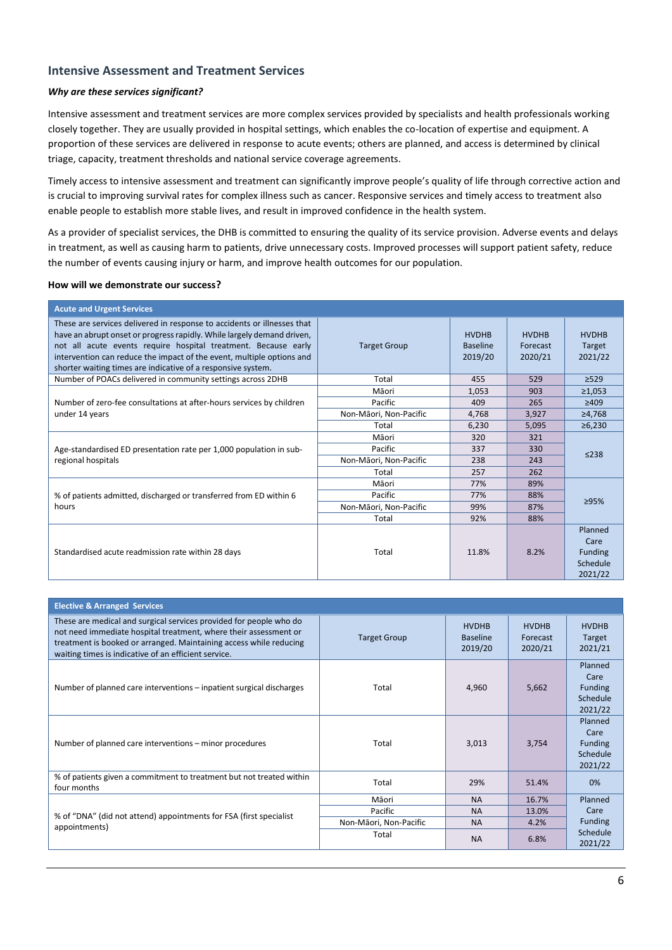## **Intensive Assessment and Treatment Services**

#### *Why are these services significant?*

Intensive assessment and treatment services are more complex services provided by specialists and health professionals working closely together. They are usually provided in hospital settings, which enables the co-location of expertise and equipment. A proportion of these services are delivered in response to acute events; others are planned, and access is determined by clinical triage, capacity, treatment thresholds and national service coverage agreements.

Timely access to intensive assessment and treatment can significantly improve people's quality of life through corrective action and is crucial to improving survival rates for complex illness such as cancer. Responsive services and timely access to treatment also enable people to establish more stable lives, and result in improved confidence in the health system.

As a provider of specialist services, the DHB is committed to ensuring the quality of its service provision. Adverse events and delays in treatment, as well as causing harm to patients, drive unnecessary costs. Improved processes will support patient safety, reduce the number of events causing injury or harm, and improve health outcomes for our population.

| <b>Acute and Urgent Services</b>                                                                                                                                                                                                                                                                                                                             |                        |                                            |                                     |                                                          |
|--------------------------------------------------------------------------------------------------------------------------------------------------------------------------------------------------------------------------------------------------------------------------------------------------------------------------------------------------------------|------------------------|--------------------------------------------|-------------------------------------|----------------------------------------------------------|
| These are services delivered in response to accidents or illnesses that<br>have an abrupt onset or progress rapidly. While largely demand driven,<br>not all acute events require hospital treatment. Because early<br>intervention can reduce the impact of the event, multiple options and<br>shorter waiting times are indicative of a responsive system. | <b>Target Group</b>    | <b>HVDHB</b><br><b>Baseline</b><br>2019/20 | <b>HVDHB</b><br>Forecast<br>2020/21 | <b>HVDHB</b><br>Target<br>2021/22                        |
| Number of POACs delivered in community settings across 2DHB                                                                                                                                                                                                                                                                                                  | Total                  | 455                                        | 529                                 | $\geq$ 529                                               |
|                                                                                                                                                                                                                                                                                                                                                              | Māori                  | 1,053                                      | 903                                 | $\geq 1,053$                                             |
| Number of zero-fee consultations at after-hours services by children                                                                                                                                                                                                                                                                                         | Pacific                | 409                                        | 265                                 | ≥409                                                     |
| under 14 years                                                                                                                                                                                                                                                                                                                                               | Non-Māori, Non-Pacific | 4,768                                      | 3,927                               | ≥4,768                                                   |
|                                                                                                                                                                                                                                                                                                                                                              | Total                  | 6,230                                      | 5,095                               | ≥6,230                                                   |
|                                                                                                                                                                                                                                                                                                                                                              | Māori                  | 320                                        | 321                                 | $\leq$ 238                                               |
| Age-standardised ED presentation rate per 1,000 population in sub-                                                                                                                                                                                                                                                                                           | Pacific                | 337                                        | 330                                 |                                                          |
| regional hospitals                                                                                                                                                                                                                                                                                                                                           | Non-Māori, Non-Pacific | 238                                        | 243                                 |                                                          |
|                                                                                                                                                                                                                                                                                                                                                              | Total                  | 257                                        | 262                                 |                                                          |
|                                                                                                                                                                                                                                                                                                                                                              | Māori                  | 77%                                        | 89%                                 |                                                          |
| % of patients admitted, discharged or transferred from ED within 6                                                                                                                                                                                                                                                                                           | Pacific                | 77%                                        | 88%                                 | >95%                                                     |
| hours                                                                                                                                                                                                                                                                                                                                                        | Non-Māori, Non-Pacific | 99%                                        | 87%                                 |                                                          |
|                                                                                                                                                                                                                                                                                                                                                              | Total                  | 92%                                        | 88%                                 |                                                          |
| Standardised acute readmission rate within 28 days                                                                                                                                                                                                                                                                                                           | Total                  | 11.8%                                      | 8.2%                                | Planned<br>Care<br><b>Funding</b><br>Schedule<br>2021/22 |

| <b>Elective &amp; Arranged Services</b>                                                                                                                                                                                                                              |                        |                                            |                                     |                                                          |
|----------------------------------------------------------------------------------------------------------------------------------------------------------------------------------------------------------------------------------------------------------------------|------------------------|--------------------------------------------|-------------------------------------|----------------------------------------------------------|
| These are medical and surgical services provided for people who do<br>not need immediate hospital treatment, where their assessment or<br>treatment is booked or arranged. Maintaining access while reducing<br>waiting times is indicative of an efficient service. | <b>Target Group</b>    | <b>HVDHB</b><br><b>Baseline</b><br>2019/20 | <b>HVDHB</b><br>Forecast<br>2020/21 | <b>HVDHB</b><br>Target<br>2021/21                        |
| Number of planned care interventions – inpatient surgical discharges                                                                                                                                                                                                 | Total                  | 4,960                                      | 5,662                               | Planned<br>Care<br><b>Funding</b><br>Schedule<br>2021/22 |
| Number of planned care interventions - minor procedures                                                                                                                                                                                                              | Total                  | 3,013                                      | 3,754                               | Planned<br>Care<br><b>Funding</b><br>Schedule<br>2021/22 |
| % of patients given a commitment to treatment but not treated within<br>four months                                                                                                                                                                                  | Total                  | 29%                                        | 51.4%                               | 0%                                                       |
|                                                                                                                                                                                                                                                                      | Māori                  | <b>NA</b>                                  | 16.7%                               | Planned                                                  |
| % of "DNA" (did not attend) appointments for FSA (first specialist                                                                                                                                                                                                   | Pacific                | <b>NA</b>                                  | 13.0%                               | Care                                                     |
| appointments)                                                                                                                                                                                                                                                        | Non-Māori, Non-Pacific | <b>NA</b>                                  | 4.2%                                | <b>Funding</b>                                           |
|                                                                                                                                                                                                                                                                      | Total                  | <b>NA</b>                                  | 6.8%                                | Schedule<br>2021/22                                      |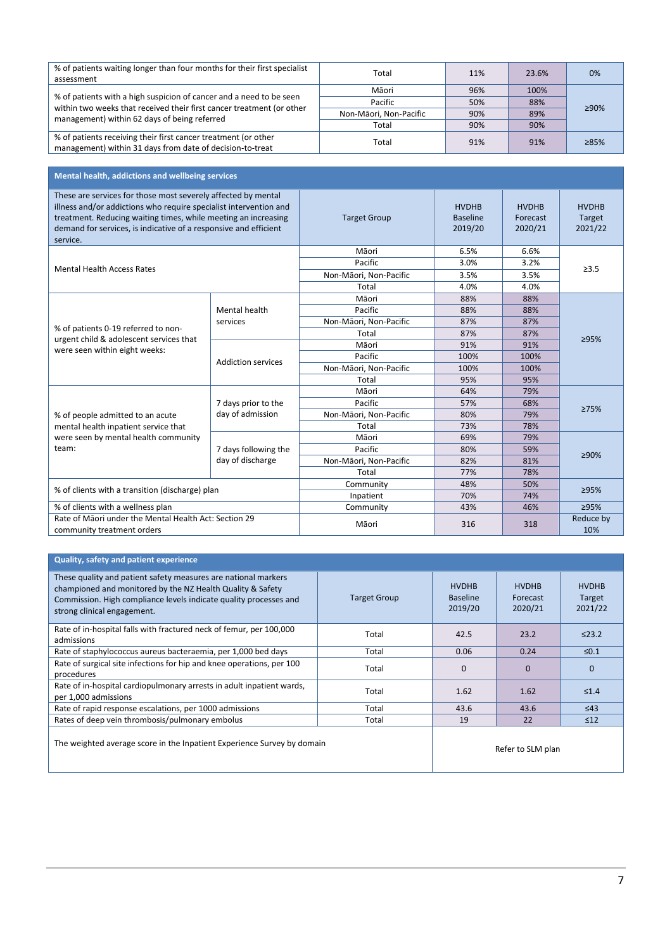| % of patients waiting longer than four months for their first specialist<br>assessment                                                       | Total                  | 11% | 23.6% | 0%   |
|----------------------------------------------------------------------------------------------------------------------------------------------|------------------------|-----|-------|------|
| % of patients with a high suspicion of cancer and a need to be seen<br>within two weeks that received their first cancer treatment (or other | Māori                  | 96% | 100%  |      |
|                                                                                                                                              | Pacific                | 50% | 88%   |      |
| management) within 62 days of being referred                                                                                                 | Non-Māori, Non-Pacific | 90% | 89%   | ≥90% |
|                                                                                                                                              | Total                  | 90% | 90%   |      |
| % of patients receiving their first cancer treatment (or other<br>management) within 31 days from date of decision-to-treat                  | Total                  | 91% | 91%   | 285% |

| Mental health, addictions and wellbeing services                                                                                                                                                                                                                                     |                           |                        |                                            |                                     |                                   |  |  |  |  |
|--------------------------------------------------------------------------------------------------------------------------------------------------------------------------------------------------------------------------------------------------------------------------------------|---------------------------|------------------------|--------------------------------------------|-------------------------------------|-----------------------------------|--|--|--|--|
| These are services for those most severely affected by mental<br>illness and/or addictions who require specialist intervention and<br>treatment. Reducing waiting times, while meeting an increasing<br>demand for services, is indicative of a responsive and efficient<br>service. |                           | <b>Target Group</b>    | <b>HVDHB</b><br><b>Baseline</b><br>2019/20 | <b>HVDHB</b><br>Forecast<br>2020/21 | <b>HVDHB</b><br>Target<br>2021/22 |  |  |  |  |
|                                                                                                                                                                                                                                                                                      |                           | Māori                  | 6.5%                                       | 6.6%                                |                                   |  |  |  |  |
| <b>Mental Health Access Rates</b>                                                                                                                                                                                                                                                    |                           | Pacific                | 3.0%                                       | 3.2%                                | >3.5                              |  |  |  |  |
|                                                                                                                                                                                                                                                                                      |                           | Non-Māori, Non-Pacific | 3.5%                                       | 3.5%                                |                                   |  |  |  |  |
|                                                                                                                                                                                                                                                                                      |                           | Total                  | 4.0%                                       | 4.0%                                |                                   |  |  |  |  |
|                                                                                                                                                                                                                                                                                      |                           | Māori                  | 88%                                        | 88%                                 |                                   |  |  |  |  |
|                                                                                                                                                                                                                                                                                      | Mental health             | Pacific                | 88%                                        | 88%                                 |                                   |  |  |  |  |
| % of patients 0-19 referred to non-                                                                                                                                                                                                                                                  | services                  | Non-Māori, Non-Pacific | 87%                                        | 87%                                 | ≥95%                              |  |  |  |  |
| urgent child & adolescent services that                                                                                                                                                                                                                                              |                           | Total                  | 87%                                        | 87%                                 |                                   |  |  |  |  |
| were seen within eight weeks:                                                                                                                                                                                                                                                        | <b>Addiction services</b> | Māori                  | 91%                                        | 91%                                 |                                   |  |  |  |  |
|                                                                                                                                                                                                                                                                                      |                           | Pacific                | 100%                                       | 100%                                |                                   |  |  |  |  |
|                                                                                                                                                                                                                                                                                      |                           | Non-Māori, Non-Pacific | 100%                                       | 100%                                |                                   |  |  |  |  |
|                                                                                                                                                                                                                                                                                      |                           | Total                  | 95%                                        | 95%                                 |                                   |  |  |  |  |
|                                                                                                                                                                                                                                                                                      |                           | Māori                  | 64%                                        | 79%                                 |                                   |  |  |  |  |
|                                                                                                                                                                                                                                                                                      | 7 days prior to the       | Pacific                | 57%                                        | 68%                                 | 275%                              |  |  |  |  |
| % of people admitted to an acute                                                                                                                                                                                                                                                     | day of admission          | Non-Māori, Non-Pacific | 80%                                        | 79%                                 |                                   |  |  |  |  |
| mental health inpatient service that                                                                                                                                                                                                                                                 |                           | Total                  | 73%                                        | 78%                                 |                                   |  |  |  |  |
| were seen by mental health community                                                                                                                                                                                                                                                 |                           | Māori                  | 69%                                        | 79%                                 |                                   |  |  |  |  |
| team:                                                                                                                                                                                                                                                                                | 7 days following the      | Pacific                | 80%                                        | 59%                                 | ≥90%                              |  |  |  |  |
|                                                                                                                                                                                                                                                                                      | day of discharge          | Non-Māori, Non-Pacific | 82%                                        | 81%                                 |                                   |  |  |  |  |
|                                                                                                                                                                                                                                                                                      |                           | Total                  | 77%                                        | 78%                                 |                                   |  |  |  |  |
| % of clients with a transition (discharge) plan                                                                                                                                                                                                                                      |                           | Community              | 48%                                        | 50%                                 | 295%                              |  |  |  |  |
|                                                                                                                                                                                                                                                                                      |                           | Inpatient              | 70%                                        | 74%                                 |                                   |  |  |  |  |
| % of clients with a wellness plan                                                                                                                                                                                                                                                    |                           | Community              | 43%                                        | 46%                                 | ≥95%                              |  |  |  |  |
| Rate of Māori under the Mental Health Act: Section 29<br>community treatment orders                                                                                                                                                                                                  |                           | Māori                  | 316                                        | 318                                 | Reduce by<br>10%                  |  |  |  |  |

### **Quality, safety and patient experience**

| These quality and patient safety measures are national markers<br>championed and monitored by the NZ Health Quality & Safety<br>Commission. High compliance levels indicate quality processes and<br>strong clinical engagement. | <b>Target Group</b> | <b>HVDHB</b><br><b>Baseline</b><br>2019/20 | <b>HVDHB</b><br>Forecast<br>2020/21 | <b>HVDHB</b><br>Target<br>2021/22 |
|----------------------------------------------------------------------------------------------------------------------------------------------------------------------------------------------------------------------------------|---------------------|--------------------------------------------|-------------------------------------|-----------------------------------|
| Rate of in-hospital falls with fractured neck of femur, per 100,000<br>admissions                                                                                                                                                | Total               | 42.5                                       | 23.2                                | $\leq$ 23.2                       |
| Rate of staphylococcus aureus bacteraemia, per 1,000 bed days                                                                                                                                                                    | Total               | 0.06                                       | 0.24                                | $≤0.1$                            |
| Rate of surgical site infections for hip and knee operations, per 100<br>procedures                                                                                                                                              | Total               | $\Omega$                                   | $\Omega$                            | $\mathbf 0$                       |
| Rate of in-hospital cardiopulmonary arrests in adult inpatient wards,<br>per 1,000 admissions                                                                                                                                    | Total               | 1.62                                       | 1.62                                | $\leq 1.4$                        |
| Rate of rapid response escalations, per 1000 admissions                                                                                                                                                                          | Total               | 43.6                                       | 43.6                                | $\leq 43$                         |
| Rates of deep vein thrombosis/pulmonary embolus                                                                                                                                                                                  | Total               | 19                                         | 22                                  | $\leq 12$                         |
| The weighted average score in the Inpatient Experience Survey by domain                                                                                                                                                          |                     |                                            | Refer to SLM plan                   |                                   |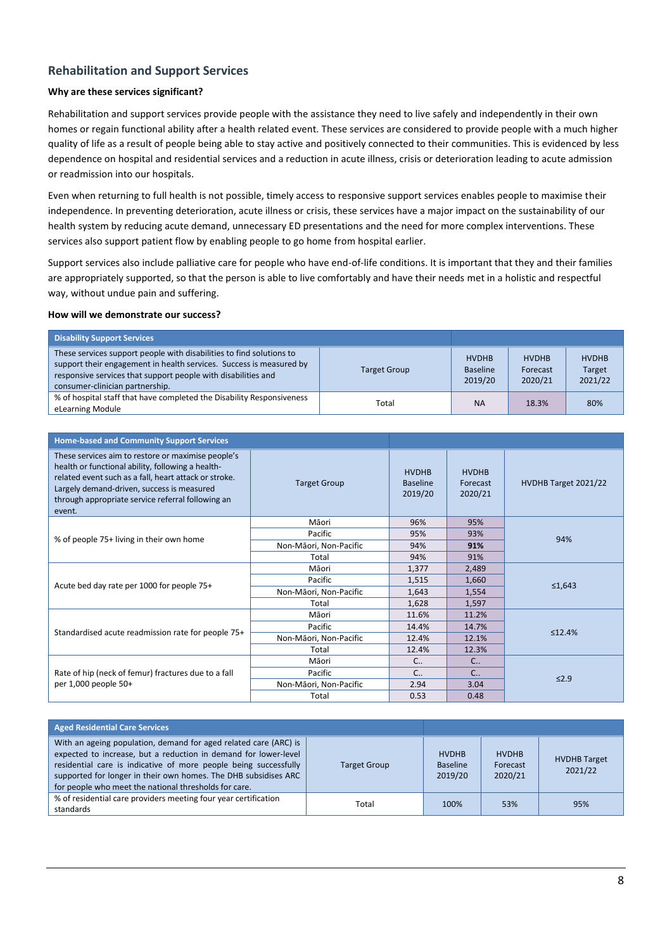# **Rehabilitation and Support Services**

#### **Why are these services significant?**

Rehabilitation and support services provide people with the assistance they need to live safely and independently in their own homes or regain functional ability after a health related event. These services are considered to provide people with a much higher quality of life as a result of people being able to stay active and positively connected to their communities. This is evidenced by less dependence on hospital and residential services and a reduction in acute illness, crisis or deterioration leading to acute admission or readmission into our hospitals.

Even when returning to full health is not possible, timely access to responsive support services enables people to maximise their independence. In preventing deterioration, acute illness or crisis, these services have a major impact on the sustainability of our health system by reducing acute demand, unnecessary ED presentations and the need for more complex interventions. These services also support patient flow by enabling people to go home from hospital earlier.

Support services also include palliative care for people who have end-of-life conditions. It is important that they and their families are appropriately supported, so that the person is able to live comfortably and have their needs met in a holistic and respectful way, without undue pain and suffering.

| <b>Disability Support Services</b>                                                                                                                                                                                                              |                     |                                            |                                     |                                   |
|-------------------------------------------------------------------------------------------------------------------------------------------------------------------------------------------------------------------------------------------------|---------------------|--------------------------------------------|-------------------------------------|-----------------------------------|
| These services support people with disabilities to find solutions to<br>support their engagement in health services. Success is measured by<br>responsive services that support people with disabilities and<br>consumer-clinician partnership. | <b>Target Group</b> | <b>HVDHB</b><br><b>Baseline</b><br>2019/20 | <b>HVDHB</b><br>Forecast<br>2020/21 | <b>HVDHB</b><br>Target<br>2021/22 |
| % of hospital staff that have completed the Disability Responsiveness<br>eLearning Module                                                                                                                                                       | Total               | <b>NA</b>                                  | 18.3%                               | 80%                               |

| <b>Home-based and Community Support Services</b>                                                                                                                                                                                                                              |                        |                                            |                                     |                      |
|-------------------------------------------------------------------------------------------------------------------------------------------------------------------------------------------------------------------------------------------------------------------------------|------------------------|--------------------------------------------|-------------------------------------|----------------------|
| These services aim to restore or maximise people's<br>health or functional ability, following a health-<br>related event such as a fall, heart attack or stroke.<br>Largely demand-driven, success is measured<br>through appropriate service referral following an<br>event. | <b>Target Group</b>    | <b>HVDHB</b><br><b>Baseline</b><br>2019/20 | <b>HVDHB</b><br>Forecast<br>2020/21 | HVDHB Target 2021/22 |
|                                                                                                                                                                                                                                                                               | Māori                  | 96%                                        | 95%                                 |                      |
| % of people 75+ living in their own home                                                                                                                                                                                                                                      | Pacific                | 95%                                        | 93%                                 | 94%                  |
|                                                                                                                                                                                                                                                                               | Non-Māori, Non-Pacific | 94%                                        | 91%                                 |                      |
|                                                                                                                                                                                                                                                                               | Total                  | 94%                                        | 91%                                 |                      |
|                                                                                                                                                                                                                                                                               | Māori                  | 1,377                                      | 2,489                               |                      |
| Acute bed day rate per 1000 for people 75+                                                                                                                                                                                                                                    | Pacific                | 1,515                                      | 1,660                               | ≤1,643               |
|                                                                                                                                                                                                                                                                               | Non-Māori, Non-Pacific | 1,643                                      | 1,554                               |                      |
|                                                                                                                                                                                                                                                                               | Total                  | 1,628                                      | 1,597                               |                      |
|                                                                                                                                                                                                                                                                               | Māori                  | 11.6%                                      | 11.2%                               |                      |
|                                                                                                                                                                                                                                                                               | Pacific                | 14.4%                                      | 14.7%                               | ≤12.4%               |
| Standardised acute readmission rate for people 75+                                                                                                                                                                                                                            | Non-Māori, Non-Pacific | 12.4%                                      | 12.1%                               |                      |
|                                                                                                                                                                                                                                                                               | Total                  | 12.4%                                      | 12.3%                               |                      |
|                                                                                                                                                                                                                                                                               | Māori                  | $C_{\cdot}$                                | $C_{\cdot}$                         |                      |
| Rate of hip (neck of femur) fractures due to a fall                                                                                                                                                                                                                           | Pacific                | $C_{\cdot}$                                | $C_{\cdot}$                         |                      |
| per 1,000 people 50+                                                                                                                                                                                                                                                          | Non-Māori, Non-Pacific | 2.94                                       | 3.04                                | $\leq 2.9$           |
|                                                                                                                                                                                                                                                                               | Total                  | 0.53                                       | 0.48                                |                      |

| <b>Aged Residential Care Services</b>                                                                                                                                                                                                                                                                                               |                     |                                            |                                     |                                |
|-------------------------------------------------------------------------------------------------------------------------------------------------------------------------------------------------------------------------------------------------------------------------------------------------------------------------------------|---------------------|--------------------------------------------|-------------------------------------|--------------------------------|
| With an ageing population, demand for aged related care (ARC) is<br>expected to increase, but a reduction in demand for lower-level<br>residential care is indicative of more people being successfully<br>supported for longer in their own homes. The DHB subsidises ARC<br>for people who meet the national thresholds for care. | <b>Target Group</b> | <b>HVDHB</b><br><b>Baseline</b><br>2019/20 | <b>HVDHB</b><br>Forecast<br>2020/21 | <b>HVDHB</b> Target<br>2021/22 |
| % of residential care providers meeting four year certification<br>standards                                                                                                                                                                                                                                                        | Total               | 100%                                       | 53%                                 | 95%                            |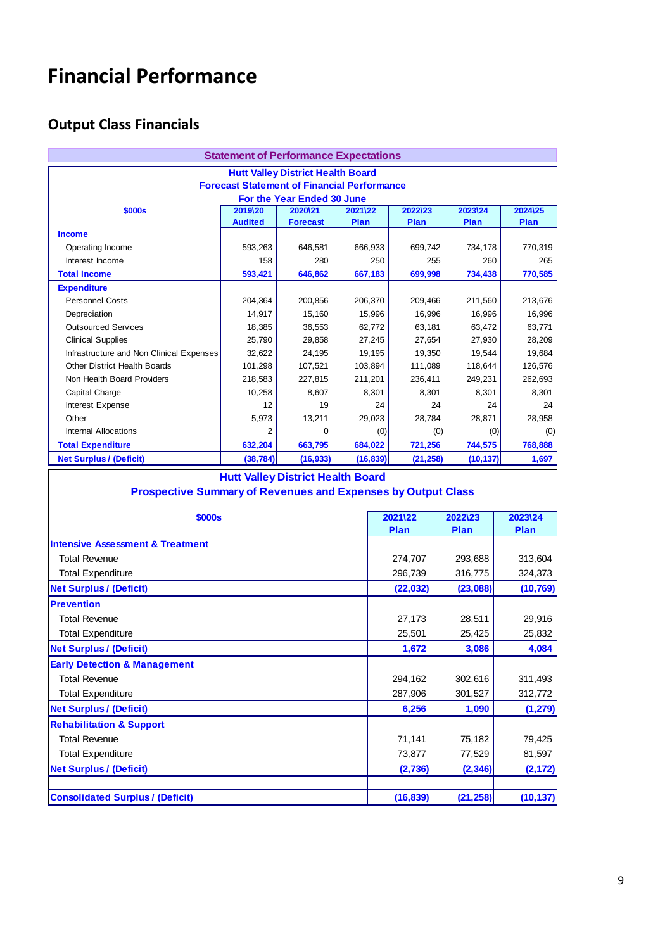# **Financial Performance**

# **Output Class Financials**

| <b>Statement of Performance Expectations</b>                         |                           |                                          |                        |                  |                  |                  |                  |  |  |
|----------------------------------------------------------------------|---------------------------|------------------------------------------|------------------------|------------------|------------------|------------------|------------------|--|--|
| <b>Hutt Valley District Health Board</b>                             |                           |                                          |                        |                  |                  |                  |                  |  |  |
| <b>Forecast Statement of Financial Performance</b>                   |                           |                                          |                        |                  |                  |                  |                  |  |  |
|                                                                      |                           | For the Year Ended 30 June<br>2020\21    |                        |                  | 2022\23          | 2023\24          | 2024\25          |  |  |
| \$000s                                                               | 2019\20<br><b>Audited</b> | <b>Forecast</b>                          | 2021\22<br><b>Plan</b> |                  | Plan             | Plan             | Plan             |  |  |
| <b>Income</b>                                                        |                           |                                          |                        |                  |                  |                  |                  |  |  |
| Operating Income                                                     | 593,263                   | 646,581                                  |                        | 666,933          | 699,742          | 734,178          | 770,319          |  |  |
| Interest Income                                                      | 158                       | 280                                      |                        | 250              | 255              | 260              | 265              |  |  |
| <b>Total Income</b>                                                  | 593,421                   | 646,862                                  |                        | 667,183          | 699,998          | 734,438          | 770,585          |  |  |
| <b>Expenditure</b>                                                   |                           |                                          |                        |                  |                  |                  |                  |  |  |
| <b>Personnel Costs</b>                                               | 204,364                   | 200,856                                  |                        | 206,370          | 209,466          | 211,560          | 213,676          |  |  |
| Depreciation                                                         | 14,917                    | 15,160                                   |                        | 15,996           | 16,996           | 16,996           | 16,996           |  |  |
| <b>Outsourced Services</b>                                           | 18,385<br>25,790          | 36,553                                   |                        | 62,772           | 63,181           | 63,472           | 63,771<br>28,209 |  |  |
| <b>Clinical Supplies</b><br>Infrastructure and Non Clinical Expenses | 32,622                    | 29,858<br>24,195                         |                        | 27,245<br>19,195 | 27,654<br>19,350 | 27,930<br>19,544 | 19,684           |  |  |
| <b>Other District Health Boards</b>                                  | 101,298                   | 107,521                                  |                        | 103,894          | 111,089          | 118,644          | 126,576          |  |  |
| Non Health Board Providers                                           | 218,583                   | 227,815                                  |                        | 211,201          | 236,411          | 249,231          | 262,693          |  |  |
| Capital Charge                                                       | 10,258                    | 8,607                                    |                        | 8,301            | 8,301            | 8,301            | 8,301            |  |  |
| Interest Expense                                                     | 12                        | 19                                       |                        | 24               |                  | 24<br>24         | 24               |  |  |
| Other                                                                | 5.973                     | 13,211                                   |                        | 29,023           | 28,784           | 28,871           | 28,958           |  |  |
| <b>Internal Allocations</b>                                          | 2                         | 0                                        |                        | (0)              |                  | (0)<br>(0)       | (0)              |  |  |
| <b>Total Expenditure</b>                                             | 632,204                   | 663,795                                  |                        | 684,022          | 721,256          | 744,575          | 768,888          |  |  |
| <b>Net Surplus / (Deficit)</b>                                       | (38, 784)                 | (16, 933)                                |                        | (16, 839)        | (21, 258)        | (10, 137)        | 1,697            |  |  |
|                                                                      |                           |                                          |                        |                  |                  |                  |                  |  |  |
|                                                                      |                           | <b>Hutt Valley District Health Board</b> |                        |                  |                  |                  |                  |  |  |
| <b>Prospective Summary of Revenues and Expenses by Output Class</b>  |                           |                                          |                        |                  |                  |                  |                  |  |  |
|                                                                      |                           |                                          |                        |                  |                  |                  |                  |  |  |
| \$000s                                                               |                           |                                          |                        |                  | 2021\22          | 2022\23          | 2023\24          |  |  |
|                                                                      |                           |                                          |                        |                  | Plan             | Plan             | Plan             |  |  |
| <b>Intensive Assessment &amp; Treatment</b>                          |                           |                                          |                        |                  |                  |                  |                  |  |  |
| <b>Total Revenue</b>                                                 |                           |                                          |                        |                  | 274,707          | 293,688          | 313,604          |  |  |
| <b>Total Expenditure</b>                                             |                           |                                          |                        |                  | 296,739          | 316,775          | 324,373          |  |  |
| <b>Net Surplus / (Deficit)</b>                                       |                           |                                          |                        |                  | (22, 032)        | (23,088)         | (10, 769)        |  |  |
| <b>Prevention</b>                                                    |                           |                                          |                        |                  |                  |                  |                  |  |  |
| <b>Total Revenue</b>                                                 |                           |                                          |                        |                  | 27,173           | 28,511           | 29,916           |  |  |
| <b>Total Expenditure</b>                                             |                           |                                          |                        |                  | 25,501           | 25,425           | 25,832           |  |  |
| <b>Net Surplus / (Deficit)</b>                                       |                           |                                          |                        |                  | 1,672            | 3,086            | 4.084            |  |  |
| <b>Early Detection &amp; Management</b>                              |                           |                                          |                        |                  |                  |                  |                  |  |  |
| <b>Total Revenue</b>                                                 |                           |                                          |                        |                  | 294,162          | 302,616          | 311,493          |  |  |
| <b>Total Expenditure</b>                                             |                           |                                          |                        |                  | 287,906          | 301,527          | 312,772          |  |  |
| <b>Net Surplus / (Deficit)</b>                                       |                           |                                          |                        |                  | 6,256            | 1,090            | (1, 279)         |  |  |
| <b>Rehabilitation &amp; Support</b>                                  |                           |                                          |                        |                  |                  |                  |                  |  |  |
| <b>Total Revenue</b>                                                 |                           |                                          |                        |                  | 71,141           | 75,182           | 79,425           |  |  |
| <b>Total Expenditure</b>                                             |                           |                                          |                        |                  | 73,877           | 77,529           | 81,597           |  |  |
|                                                                      |                           |                                          |                        |                  |                  |                  |                  |  |  |
| <b>Net Surplus / (Deficit)</b>                                       |                           |                                          |                        |                  | (2,736)          | (2, 346)         | (2, 172)         |  |  |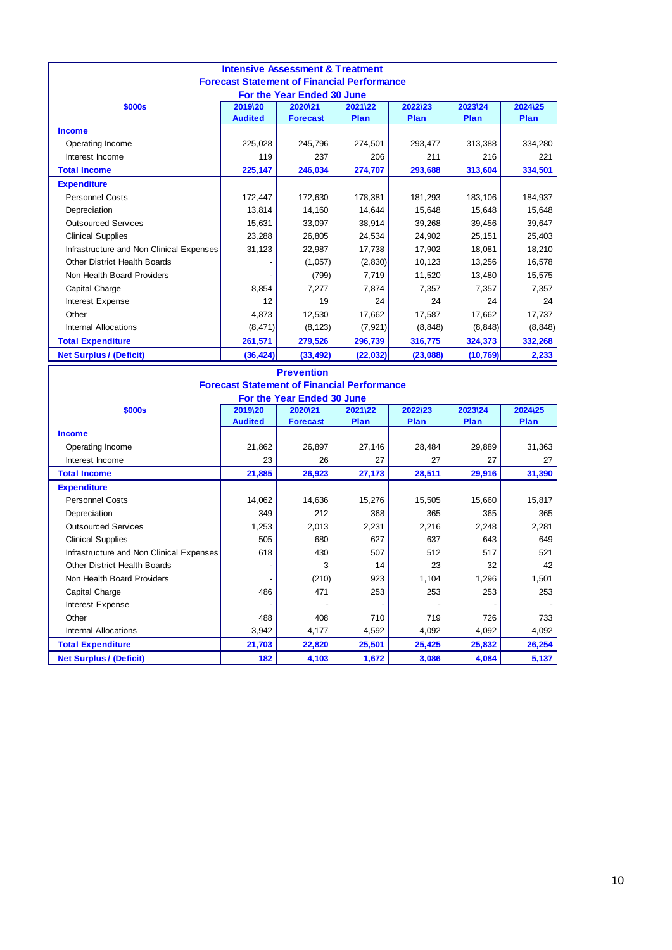| <b>Intensive Assessment &amp; Treatment</b>                                      |                |                 |           |          |           |          |  |  |  |
|----------------------------------------------------------------------------------|----------------|-----------------|-----------|----------|-----------|----------|--|--|--|
| <b>Forecast Statement of Financial Performance</b><br>For the Year Ended 30 June |                |                 |           |          |           |          |  |  |  |
| \$000s                                                                           | 2019\20        | 2020\21         | 2021\22   | 2022\23  | 2023\24   | 2024\25  |  |  |  |
|                                                                                  | <b>Audited</b> | <b>Forecast</b> | Plan      | Plan     | Plan      | Plan     |  |  |  |
| <b>Income</b>                                                                    |                |                 |           |          |           |          |  |  |  |
| Operating Income                                                                 | 225,028        | 245,796         | 274,501   | 293,477  | 313,388   | 334,280  |  |  |  |
| Interest Income                                                                  | 119            | 237             | 206       | 211      | 216       | 221      |  |  |  |
| <b>Total Income</b>                                                              | 225,147        | 246,034         | 274,707   | 293,688  | 313,604   | 334,501  |  |  |  |
| <b>Expenditure</b>                                                               |                |                 |           |          |           |          |  |  |  |
| <b>Personnel Costs</b>                                                           | 172,447        | 172,630         | 178,381   | 181,293  | 183,106   | 184,937  |  |  |  |
| Depreciation                                                                     | 13,814         | 14,160          | 14,644    | 15,648   | 15,648    | 15,648   |  |  |  |
| <b>Outsourced Services</b>                                                       | 15,631         | 33,097          | 38,914    | 39,268   | 39,456    | 39,647   |  |  |  |
| <b>Clinical Supplies</b>                                                         | 23,288         | 26,805          | 24,534    | 24,902   | 25,151    | 25,403   |  |  |  |
| Infrastructure and Non Clinical Expenses                                         | 31,123         | 22,987          | 17,738    | 17,902   | 18,081    | 18,210   |  |  |  |
| Other District Health Boards                                                     |                | (1,057)         | (2,830)   | 10,123   | 13,256    | 16,578   |  |  |  |
| Non Health Board Providers                                                       |                | (799)           | 7,719     | 11,520   | 13,480    | 15,575   |  |  |  |
| Capital Charge                                                                   | 8,854          | 7,277           | 7,874     | 7,357    | 7,357     | 7,357    |  |  |  |
| Interest Expense                                                                 | 12             | 19              | 24        | 24       | 24        | 24       |  |  |  |
| Other                                                                            | 4,873          | 12,530          | 17,662    | 17,587   | 17,662    | 17,737   |  |  |  |
| Internal Allocations                                                             | (8, 471)       | (8, 123)        | (7, 921)  | (8, 848) | (8, 848)  | (8, 848) |  |  |  |
| <b>Total Expenditure</b>                                                         | 261,571        | 279,526         | 296,739   | 316,775  | 324,373   | 332,268  |  |  |  |
| <b>Net Surplus / (Deficit)</b>                                                   | (36, 424)      | (33, 492)       | (22, 032) | (23,088) | (10, 769) | 2,233    |  |  |  |

| <b>Prevention</b>                                  |                |                 |         |         |         |         |  |  |  |
|----------------------------------------------------|----------------|-----------------|---------|---------|---------|---------|--|--|--|
| <b>Forecast Statement of Financial Performance</b> |                |                 |         |         |         |         |  |  |  |
| For the Year Ended 30 June                         |                |                 |         |         |         |         |  |  |  |
| \$000s                                             | 2019\20        | 2020\21         | 2021\22 | 2022\23 | 2023\24 | 2024\25 |  |  |  |
|                                                    | <b>Audited</b> | <b>Forecast</b> | Plan    | Plan    | Plan    | Plan    |  |  |  |
| <b>Income</b>                                      |                |                 |         |         |         |         |  |  |  |
| Operating Income                                   | 21,862         | 26,897          | 27,146  | 28,484  | 29,889  | 31,363  |  |  |  |
| Interest Income                                    | 23             | 26              | 27      | 27      | 27      | 27      |  |  |  |
| <b>Total Income</b>                                | 21,885         | 26,923          | 27,173  | 28,511  | 29,916  | 31,390  |  |  |  |
| <b>Expenditure</b>                                 |                |                 |         |         |         |         |  |  |  |
| <b>Personnel Costs</b>                             | 14,062         | 14,636          | 15,276  | 15,505  | 15,660  | 15,817  |  |  |  |
| Depreciation                                       | 349            | 212             | 368     | 365     | 365     | 365     |  |  |  |
| <b>Outsourced Services</b>                         | 1,253          | 2,013           | 2,231   | 2,216   | 2,248   | 2,281   |  |  |  |
| <b>Clinical Supplies</b>                           | 505            | 680             | 627     | 637     | 643     | 649     |  |  |  |
| Infrastructure and Non Clinical Expenses           | 618            | 430             | 507     | 512     | 517     | 521     |  |  |  |
| <b>Other District Health Boards</b>                |                | 3               | 14      | 23      | 32      | 42      |  |  |  |
| Non Health Board Providers                         |                | (210)           | 923     | 1,104   | 1,296   | 1,501   |  |  |  |
| Capital Charge                                     | 486            | 471             | 253     | 253     | 253     | 253     |  |  |  |
| Interest Expense                                   |                |                 |         |         |         |         |  |  |  |
| Other                                              | 488            | 408             | 710     | 719     | 726     | 733     |  |  |  |
| <b>Internal Allocations</b>                        | 3,942          | 4,177           | 4,592   | 4,092   | 4,092   | 4,092   |  |  |  |
| <b>Total Expenditure</b>                           | 21,703         | 22,820          | 25,501  | 25,425  | 25,832  | 26,254  |  |  |  |
| <b>Net Surplus / (Deficit)</b>                     | 182            | 4,103           | 1,672   | 3,086   | 4,084   | 5,137   |  |  |  |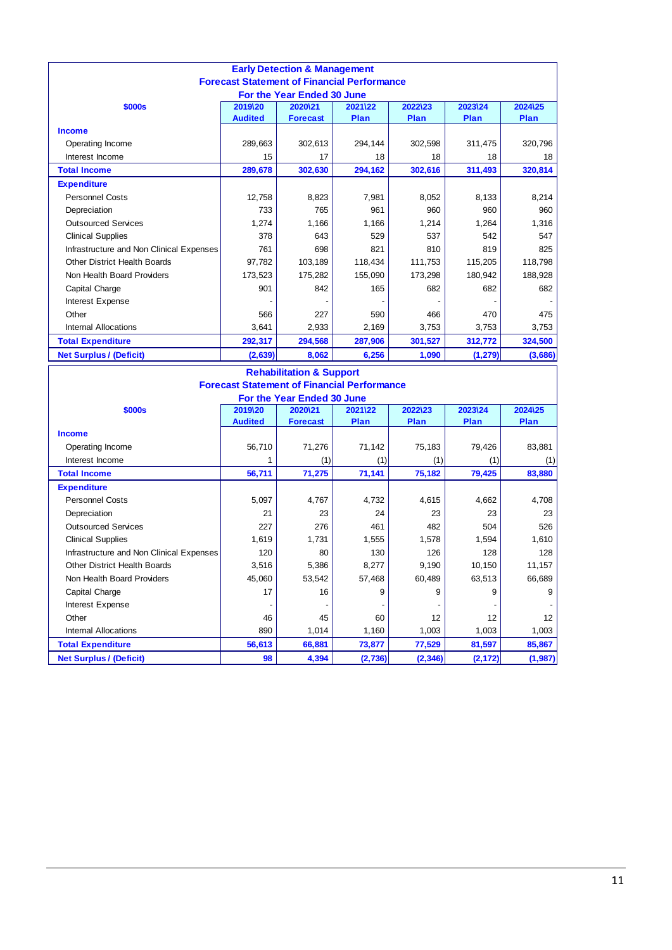| <b>Early Detection &amp; Management</b><br><b>Forecast Statement of Financial Performance</b> |                |                 |         |         |          |         |  |  |  |
|-----------------------------------------------------------------------------------------------|----------------|-----------------|---------|---------|----------|---------|--|--|--|
| For the Year Ended 30 June                                                                    |                |                 |         |         |          |         |  |  |  |
| \$000s                                                                                        | 2019\20        | 2020\21         | 2021\22 | 2022\23 | 2023\24  | 2024\25 |  |  |  |
|                                                                                               | <b>Audited</b> | <b>Forecast</b> | Plan    | Plan    | Plan     | Plan    |  |  |  |
| <b>Income</b>                                                                                 |                |                 |         |         |          |         |  |  |  |
| Operating Income                                                                              | 289,663        | 302,613         | 294,144 | 302,598 | 311,475  | 320,796 |  |  |  |
| Interest Income                                                                               | 15             | 17              | 18      | 18      | 18       | 18      |  |  |  |
| <b>Total Income</b>                                                                           | 289,678        | 302,630         | 294,162 | 302,616 | 311,493  | 320,814 |  |  |  |
| <b>Expenditure</b>                                                                            |                |                 |         |         |          |         |  |  |  |
| <b>Personnel Costs</b>                                                                        | 12,758         | 8,823           | 7.981   | 8,052   | 8,133    | 8,214   |  |  |  |
| Depreciation                                                                                  | 733            | 765             | 961     | 960     | 960      | 960     |  |  |  |
| <b>Outsourced Services</b>                                                                    | 1,274          | 1,166           | 1.166   | 1,214   | 1,264    | 1,316   |  |  |  |
| <b>Clinical Supplies</b>                                                                      | 378            | 643             | 529     | 537     | 542      | 547     |  |  |  |
| Infrastructure and Non Clinical Expenses                                                      | 761            | 698             | 821     | 810     | 819      | 825     |  |  |  |
| Other District Health Boards                                                                  | 97,782         | 103,189         | 118,434 | 111,753 | 115,205  | 118,798 |  |  |  |
| Non Health Board Providers                                                                    | 173,523        | 175,282         | 155,090 | 173,298 | 180,942  | 188,928 |  |  |  |
| Capital Charge                                                                                | 901            | 842             | 165     | 682     | 682      | 682     |  |  |  |
| Interest Expense                                                                              |                |                 |         |         |          |         |  |  |  |
| Other                                                                                         | 566            | 227             | 590     | 466     | 470      | 475     |  |  |  |
| <b>Internal Allocations</b>                                                                   | 3,641          | 2,933           | 2,169   | 3,753   | 3,753    | 3,753   |  |  |  |
| <b>Total Expenditure</b>                                                                      | 292,317        | 294,568         | 287,906 | 301,527 | 312,772  | 324,500 |  |  |  |
| <b>Net Surplus / (Deficit)</b>                                                                | (2,639)        | 8,062           | 6,256   | 1,090   | (1, 279) | (3,686) |  |  |  |

| <b>Rehabilitation &amp; Support</b>                |                |                 |         |          |             |          |  |  |  |
|----------------------------------------------------|----------------|-----------------|---------|----------|-------------|----------|--|--|--|
| <b>Forecast Statement of Financial Performance</b> |                |                 |         |          |             |          |  |  |  |
| For the Year Ended 30 June                         |                |                 |         |          |             |          |  |  |  |
| \$000s                                             | 2019\20        | 2020\21         | 2021\22 | 2022\23  | 2023\24     | 2024\25  |  |  |  |
|                                                    | <b>Audited</b> | <b>Forecast</b> | Plan    | Plan     | <b>Plan</b> | Plan     |  |  |  |
| <b>Income</b>                                      |                |                 |         |          |             |          |  |  |  |
| Operating Income                                   | 56,710         | 71,276          | 71,142  | 75,183   | 79,426      | 83,881   |  |  |  |
| Interest Income                                    | 1              | (1)             | (1)     | (1)      | (1)         | (1)      |  |  |  |
| <b>Total Income</b>                                | 56,711         | 71,275          | 71,141  | 75,182   | 79,425      | 83,880   |  |  |  |
| <b>Expenditure</b>                                 |                |                 |         |          |             |          |  |  |  |
| <b>Personnel Costs</b>                             | 5,097          | 4,767           | 4,732   | 4,615    | 4,662       | 4,708    |  |  |  |
| Depreciation                                       | 21             | 23              | 24      | 23       | 23          | 23       |  |  |  |
| <b>Outsourced Services</b>                         | 227            | 276             | 461     | 482      | 504         | 526      |  |  |  |
| <b>Clinical Supplies</b>                           | 1,619          | 1,731           | 1,555   | 1,578    | 1,594       | 1,610    |  |  |  |
| Infrastructure and Non Clinical Expenses           | 120            | 80              | 130     | 126      | 128         | 128      |  |  |  |
| <b>Other District Health Boards</b>                | 3,516          | 5,386           | 8,277   | 9,190    | 10,150      | 11,157   |  |  |  |
| Non Health Board Providers                         | 45,060         | 53,542          | 57,468  | 60,489   | 63,513      | 66,689   |  |  |  |
| Capital Charge                                     | 17             | 16              | 9       | 9        | 9           | 9        |  |  |  |
| Interest Expense                                   |                |                 |         |          |             |          |  |  |  |
| Other                                              | 46             | 45              | 60      | 12       | 12          | 12       |  |  |  |
| <b>Internal Allocations</b>                        | 890            | 1,014           | 1,160   | 1,003    | 1,003       | 1,003    |  |  |  |
| <b>Total Expenditure</b>                           | 56,613         | 66,881          | 73,877  | 77,529   | 81,597      | 85,867   |  |  |  |
| <b>Net Surplus / (Deficit)</b>                     | 98             | 4,394           | (2,736) | (2, 346) | (2, 172)    | (1, 987) |  |  |  |